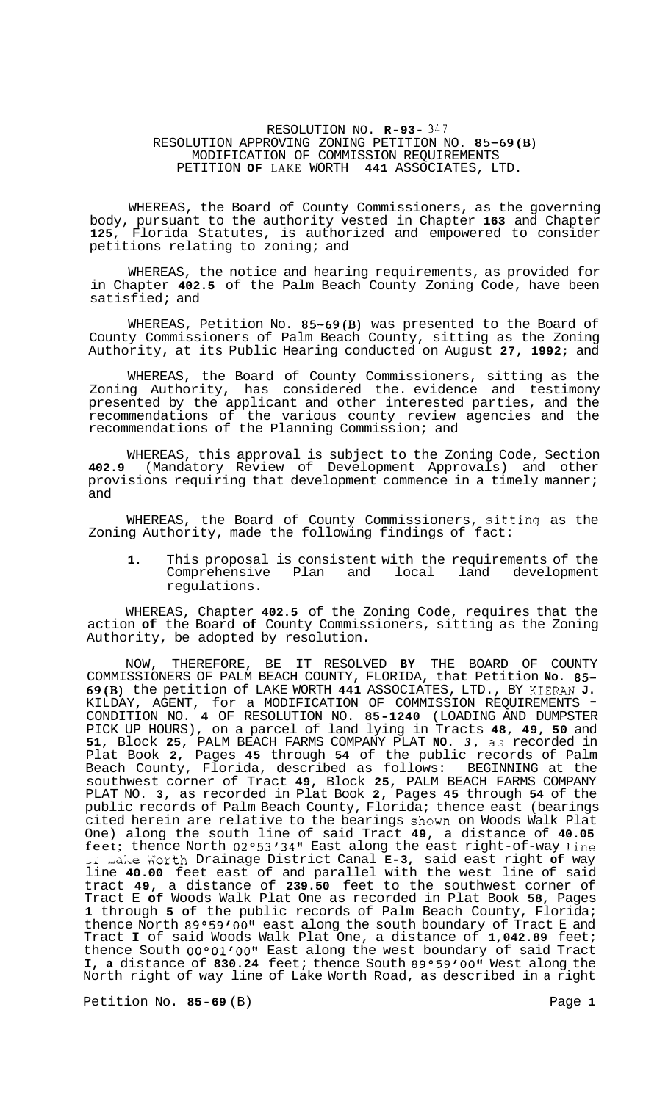# RESOLUTION NO. **R-93-** 347 RESOLUTION APPROVING ZONING PETITION NO. **85-69(B)**  MODIFICATION OF COMMISSION REQUIREMENTS PETITION **OF** LAKE WORTH **441** ASSOCIATES, LTD.

WHEREAS, the Board of County Commissioners, as the governing body, pursuant to the authority vested in Chapter **163** and Chapter **125,** Florida Statutes, is authorized and empowered to consider petitions relating to zoning; and

WHEREAS, the notice and hearing requirements, as provided for in Chapter **402.5** of the Palm Beach County Zoning Code, have been satisfied; and

WHEREAS, Petition No. **85-69(B)** was presented to the Board of County Commissioners of Palm Beach County, sitting as the Zoning Authority, at its Public Hearing conducted on August **27, 1992;** and

WHEREAS, the Board of County Commissioners, sitting as the Zoning Authority, has considered the. evidence and testimony presented by the applicant and other interested parties, and the recommendations of the various county review agencies and the recommendations of the Planning Commission; and

WHEREAS, this approval is subject to the Zoning Code, Section **402.9** (Mandatory Review of Development Approvals) and other provisions requiring that development commence in a timely manner; and

WHEREAS, the Board of County Commissioners, sitting as the Zoning Authority, made the following findings of fact:

**1.** This proposal is consistent with the requirements of the Comprehensive Plan and local land development regulations.

WHEREAS, Chapter **402.5** of the Zoning Code, requires that the action **of** the Board **of** County Commissioners, sitting as the Zoning Authority, be adopted by resolution.

NOW, THEREFORE, BE IT RESOLVED **BY** THE BOARD OF COUNTY COMMISSIONERS OF PALM BEACH COUNTY, FLORIDA, that Petition **No. 85- 69(B)** the petition of LAKE WORTH **441** ASSOCIATES, LTD., BY KIERAN **J.**  KILDAY, AGENT, for a MODIFICATION OF COMMISSION REQUIREMENTS CONDITION NO. **4** OF RESOLUTION NO. **85-1240** (LOADING AND DUMPSTER PICK UP HOURS), on a parcel of land lying in Tracts **48, 49, 50** and **51,** Block **25,** PALM BEACH FARMS COMPANY PLAT **NO.** *3,* as recorded in Plat Book **2,** Pages **45** through **54** of the public records of Palm Beach County, Florida, described as follows: BEGINNING at the southwest corner of Tract **49,** Block **25,** PALM BEACH FARMS COMPANY PLAT NO. **3,** as recorded in Plat Book **2,** Pages **45** through **54** of the public records of Palm Beach County, Florida; thence east (bearings cited herein are relative to the bearings shown on Woods Walk Plat One) along the south line of said Tract **49,** a distance of **40.05**  feet; thence North **02°53/3411** East along the east right-of-way Iine ,L ,ALe dorth Drainage District Canal **E-3,** said east right **of** way line **40.00** feet east of and parallel with the west line of said tract **49,** a distance of **239.50** feet to the southwest corner of Tract E **of** Woods Walk Plat One as recorded in Plat Book **58,** Pages **1** through **5 of** the public records of Palm Beach County, Florida; thence North 89°59'00" east along the south boundary of Tract E and Tract **I** of said Woods Walk Plat One, a distance of **1,042.89** feet; thence South 00°01'00" East along the west boundary of said Tract **I, a** distance of 830.24 feet; thence South 89°59'00" West along the North right of way line of Lake Worth Road, as described in a right

Petition No. 85-69 (B) Page 1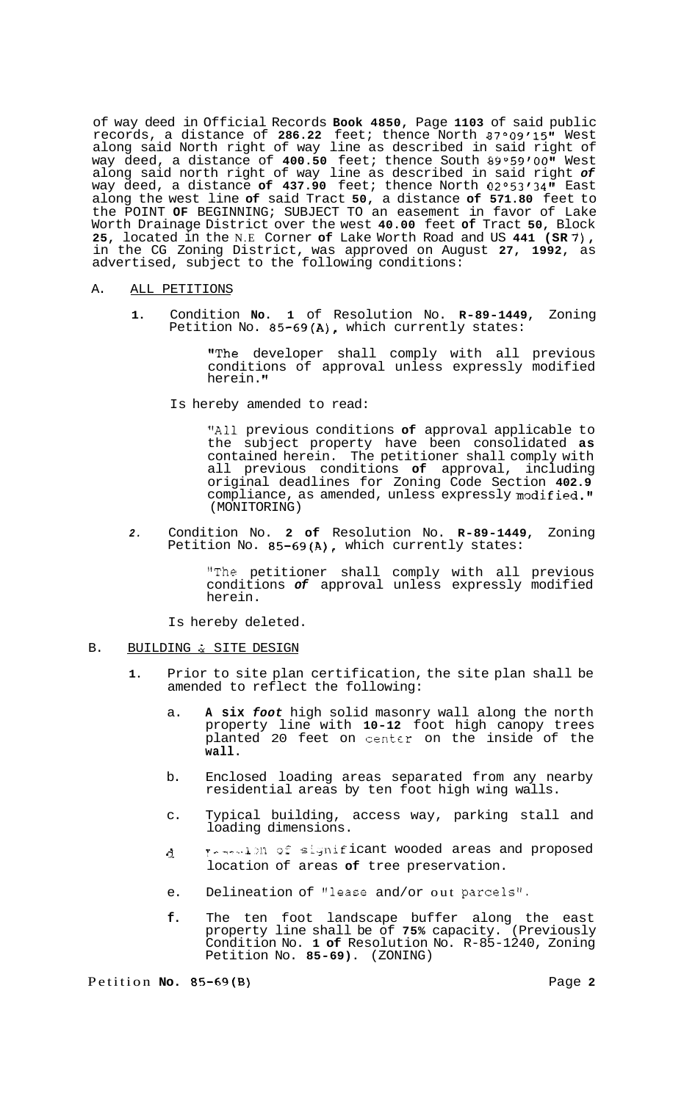of way deed in Official Records **Book 4850,** Page **1103** of said public records, a distance of **286.22** feet; thence North **87°09'15tt** West along said North right of way line as described in said right of way deed, a distance of **400.50** feet; thence South **89°59'0011** West along said north right of way line as described in said right *of*  way deed, a distance **of 437.90** feet; thence North **02°53'3411** East along the west line **of** said Tract **50,** a distance **of 571.80** feet to the POINT **OF** BEGINNING; SUBJECT TO an easement in favor of Lake Worth Drainage District over the west **40.00** feet **of** Tract **50,** Block **25,** located in the N.E Corner **of** Lake Worth Road and US **441 (SR** *7),*  in the CG Zoning District, was approved on August **27, 1992,** as advertised, subject to the following conditions:

## A. ALL PETITIONS

**1.** Condition **No. 1** of Resolution No. **R-89-1449,** Zoning Petition No. **85-69(A),** which currently states:

> !'The developer shall comply with all previous conditions of approval unless expressly modified herein.

Is hereby amended to read:

**!!All** previous conditions **of** approval applicable to the subject property have been consolidated **as**  contained herein. The petitioner shall comply with all previous conditions **of** approval, including original deadlines for Zoning Code Section **402.9**  compliance, as amended, unless expressly modified." (MONITORING)

*2.* Condition No. **2 of** Resolution No. **R-89-1449,** Zoning Petition No. **85-69(A),** which currently states:

> !'The petitioner shall comply with all previous conditions *of* approval unless expressly modified herein.

Is hereby deleted.

# B. BUILDING & SITE DESIGN

- **1.** Prior to site plan certification, the site plan shall be amended to reflect the following:
	- a. **A six** *foot* high solid masonry wall along the north property line with **10-12** foot high canopy trees planted 20 feet on centcr on the inside of the **wall.**
	- b. Enclosed loading areas separated from any nearby residential areas by ten foot high wing walls.
	- c. Typical building, access way, parking stall and loading dimensions.
	- d. In the significant wooded areas and proposed location of areas **of** tree preservation.
	- e. Delineation of "lease and/or out parcels".
	- **f.** The ten foot landscape buffer along the east property line shall be of **75%** capacity. (Previously Condition No. **1 of** Resolution No. R-85-1240, Zoning Petition No. **85-69).** (ZONING)

Petition **No. 85-69(B)** Page **2**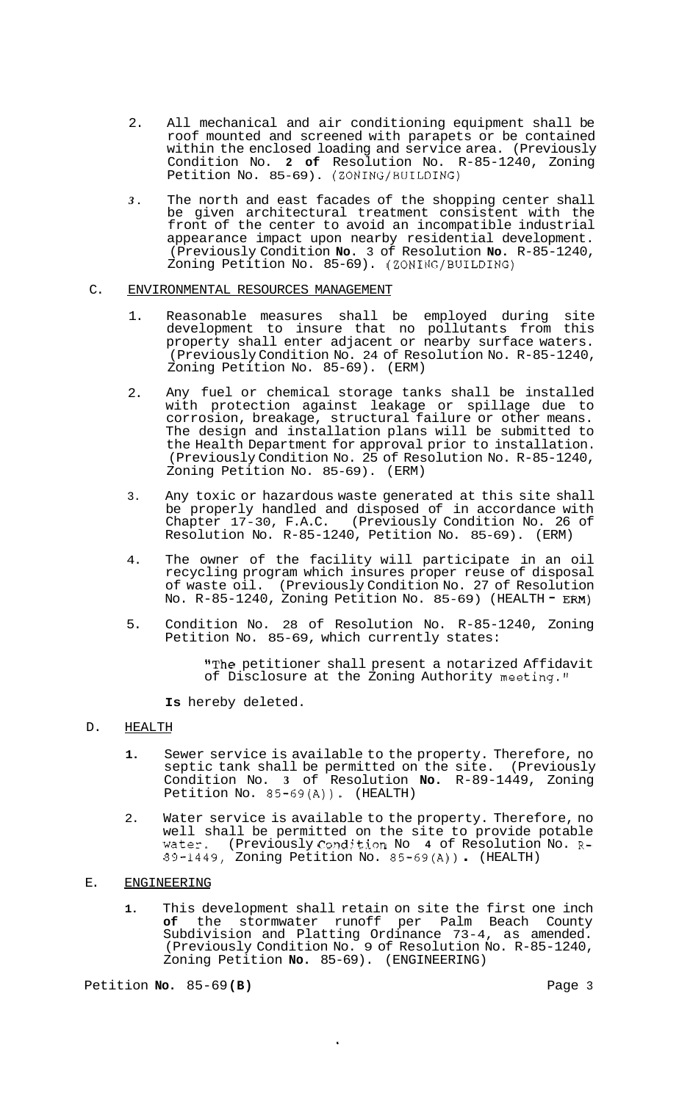- 2. All mechanical and air conditioning equipment shall be roof mounted and screened with parapets or be contained within the enclosed loading and service area. (Previously Condition No. **2 of** Resolution No. R-85-1240, Zoning Petition No. 85-69). (ZONING/BUILDING)
- *3.* The north and east facades of the shopping center shall be given architectural treatment consistent with the front of the center to avoid an incompatible industrial appearance impact upon nearby residential development. (Previously Condition **No.** 3 of Resolution **No.** R-85-1240, Zoning Petition No. 85-69). (ZONING/BUILDING)

## C. ENVIRONMENTAL RESOURCES MANAGEMENT

- 1. Reasonable measures shall be employed during site development to insure that no pollutants from this property shall enter adjacent or nearby surface waters. (Previously Condition No. 24 of Resolution No. R-85-1240, Zoning Petition No. 85-69). (ERM)
- 2. Any fuel or chemical storage tanks shall be installed with protection against leakage or spillage due to corrosion, breakage, structural failure or other means. The design and installation plans will be submitted to the Health Department for approval prior to installation. (Previously Condition No. 25 of Resolution No. R-85-1240, Zoning Petition No. 85-69). (ERM)
- 3. Any toxic or hazardous waste generated at this site shall be properly handled and disposed of in accordance with Chapter 17-30, F.A.C. (Previously Condition No. 26 of Resolution No. R-85-1240, Petition No. 85-69). (ERM)
- 4. The owner of the facility will participate in an oil recycling program which insures proper reuse of disposal of waste oil. (Previously Condition No. 27 of Resolution<br>No. R-85-1240, Zoning Petition No. 85-69) (HEALTH - ERM)
- 5. Condition No. 28 of Resolution No. R-85-1240, Zoning Petition No. 85-69, which currently states:

"The petitioner shall present a notarized Affidavit of Disclosure at the Zoning Authority meeting."

**Is** hereby deleted.

# D. HEALTH

- **1.** Sewer service is available to the property. Therefore, no septic tank shall be permitted on the site. (Previously Condition No. **3** of Resolution **No.** R-89-1449, Zoning Petition No. 85-69(A)). (HEALTH)
- 2. Water service is available to the property. Therefore, no well shall be permitted on the site to provide potable water. (Previously Condition No 4 of Resolution No. R<sup>.</sup><br>89-1449, Zoning Petition No. 85-69(A)) . (HEALTH)

### E. ENGINEERING

**1.** This development shall retain on site the first one inch **of** the stormwater runoff per Palm Beach County Subdivision and Platting Ordinance 73-4, as amended. (Previously Condition No. 9 of Resolution No. R-85-1240, Zoning Petition **No.** 85-69). (ENGINEERING)

Petition **No.** 85-69 **(B)** Page 3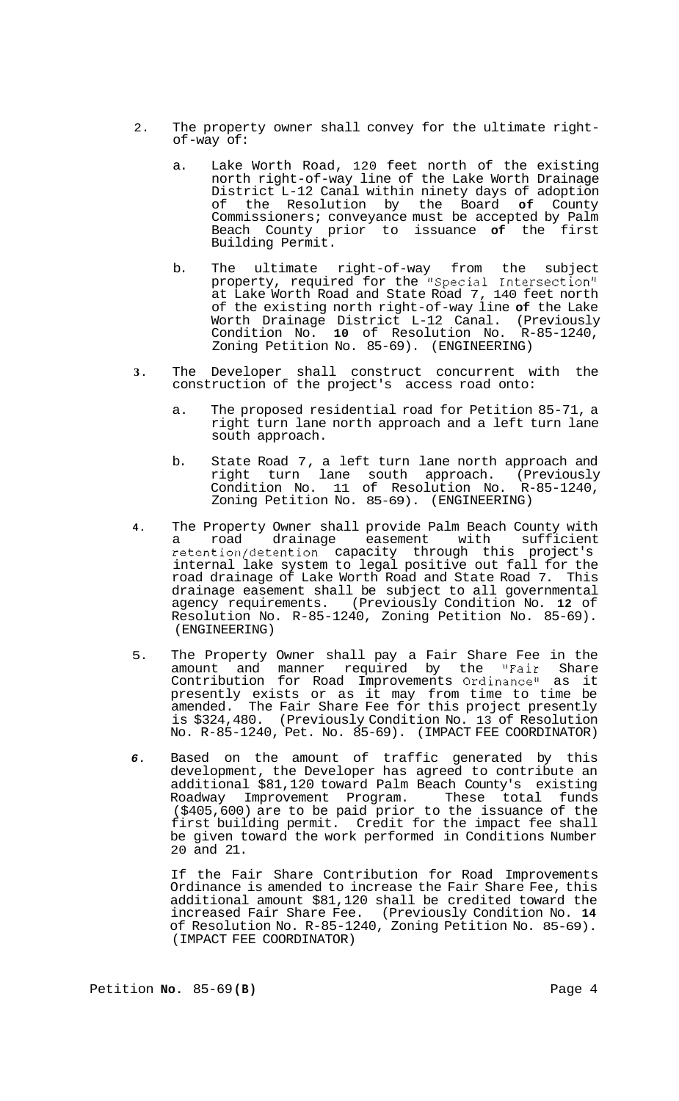- 2. The property owner shall convey for the ultimate right-<br>of-way of:
	- a. Lake Worth Road, 120 feet north of the existing north right-of-way line of the Lake Worth Drainage District L-12 Canal within ninety days of adoption of the Resolution by the Board **of** County Commissioners; conveyance must be accepted by Palm Beach County prior to issuance **of** the first Building Permit.
	- b. The ultimate right-of-way from the subject property, required for the "Special Intersection" at Lake Worth Road and State Road 7, 140 feet north of the existing north right-of-way line **of** the Lake Worth Drainage District L-12 Canal. (Previously Condition No. **10** of Resolution No. R-85-1240, Zoning Petition No. 85-69). (ENGINEERING)
- **3.** The Developer shall construct concurrent with the construction of the project's access road onto:
	- a. The proposed residential road for Petition 85-71, a right turn lane north approach and a left turn lane south approach.
	- b. State Road 7, a left turn lane north approach and right turn lane south approach. (Previously Condition No. 11 of Resolution No. R-85-1240, Zoning Petition No. 85-69). (ENGINEERING)
- **4.** The Property Owner shall provide Palm Beach County with a road drainage easement with sufficient retention/detention capacity through this project's internal lake system to legal positive out fall for the road drainage of Lake Worth Road and State Road 7. This drainage easement shall be subject to all governmental<br>agency requirements. (Previously Condition No. 12 of agency requirements. (Previously Condition No. **12** of Resolution No. R-85-1240, Zoning Petition No. 85-69). (ENGINEERING)
- 5. The Property Owner shall pay a Fair Share Fee in the amount and manner required by the !'Fair Share Contribution for Road Improvements Ordinance" as it presently exists or as it may from time to time be amended. The Fair Share Fee for this project presently is \$324,480. (Previously Condition No. 13 of Resolution No. R-85-1240, Pet. No. 85-69). (IMPACT FEE COORDINATOR)
- *6.* Based on the amount of traffic generated by this development, the Developer has agreed to contribute an additional \$81,120 toward Palm Beach County's existing Roadway Improvement Program. These total funds (\$405,600) are to be paid prior to the issuance of the first building permit. Credit for the impact fee shall be given toward the work performed in Conditions Number 20 and 21.

If the Fair Share Contribution for Road Improvements Ordinance is amended to increase the Fair Share Fee, this additional amount \$81,120 shall be credited toward the increased Fair Share Fee. (Previously Condition No. **14**  of Resolution No. R-85-1240, Zoning Petition No. 85-69). (IMPACT FEE COORDINATOR)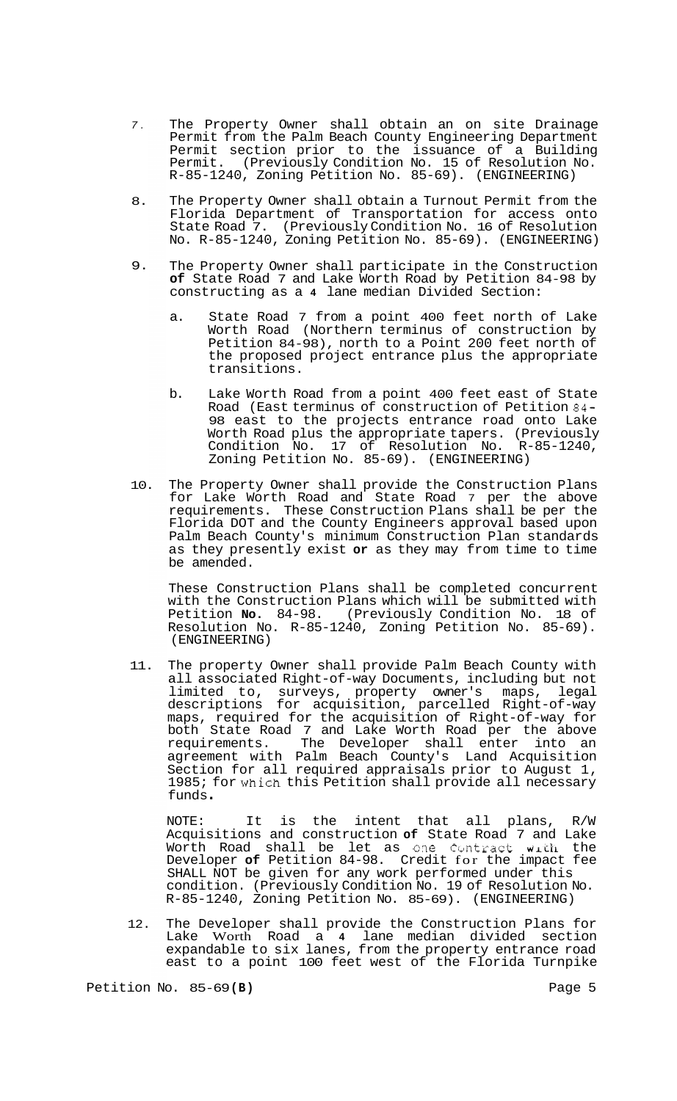- *7.*  The Property Owner shall obtain an on site Drainage Permit from the Palm Beach County Engineering Department Permit section prior to the issuance of a Building Permit. (Previously Condition No. 15 of Resolution No. R-85-1240, Zoning Petition No. 85-69). (ENGINEERING)
- 8. The Property Owner shall obtain a Turnout Permit from the Florida Department of Transportation for access onto State Road 7. (Previously Condition No. 16 of Resolution No. R-85-1240, Zoning Petition No. 85-69). (ENGINEERING)
- 9. The Property Owner shall participate in the Construction **of** State Road 7 and Lake Worth Road by Petition 84-98 by constructing as a **4** lane median Divided Section:
	- a. State Road 7 from a point 400 feet north of Lake Worth Road (Northern terminus of construction by Petition 84-98), north to a Point 200 feet north of the proposed project entrance plus the appropriate transitions.
	- b. Lake Worth Road from a point 400 feet east of State Road (East terminus of construction of Petition 84- 98 east to the projects entrance road onto Lake Worth Road plus the appropriate tapers. (Previously Condition No. 17 of Resolution No. R-85-1240, Zoning Petition No. 85-69). (ENGINEERING)
- 10. The Property Owner shall provide the Construction Plans for Lake Worth Road and State Road 7 per the above requirements. These Construction Plans shall be per the Florida DOT and the County Engineers approval based upon Palm Beach County's minimum Construction Plan standards as they presently exist **or** as they may from time to time be amended.

These Construction Plans shall be completed concurrent with the Construction Plans which will be submitted with Petition **No.** 84-98. (Previously Condition No. 18 of Resolution No. R-85-1240, Zoning Petition No. 85-69). (ENGINEERING)

11. The property Owner shall provide Palm Beach County with all associated Right-of-way Documents, including but not limited to, surveys, property owner's maps, legal descriptions for acquisition, parcelled Right-of-way maps, required for the acquisition of Right-of-way for both State Road 7 and Lake Worth Road per the above requirements. The Developer shall enter into an agreement with Palm Beach County's Land Acquisition Section for all required appraisals prior to August 1, 1985; for which this Petition shall provide all necessary funds .

NOTE: It is the intent that all plans, R/W Acquisitions and construction **of** State Road 7 and Lake Worth Road shall be let as one Contract with the Developer **of** Petition 84-98. Credit for the impact fee SHALL NOT be given for any work performed under this condition. (Previously Condition No. 19 of Resolution No. R-85-1240, Zoning Petition No. 85-69). (ENGINEERING)

12. The Developer shall provide the Construction Plans for Lake Worth Road a 4 lane median divided section expandable to six lanes, from the property entrance road east to a point 100 feet west of the Florida Turnpike

Petition No. 85-69(B) **Page 5 Page 5**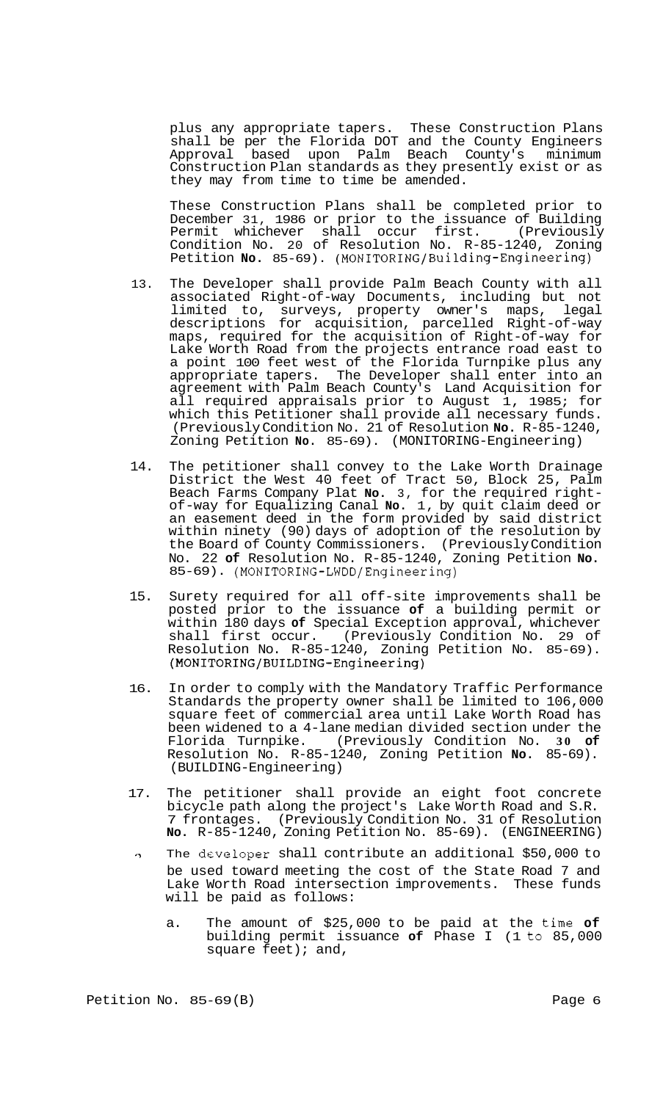plus any appropriate tapers. These Construction Plans shall be per the Florida DOT and the County Engineers Approval based upon Palm Beach County's minimum Construction Plan standards as they presently exist or as they may from time to time be amended.

These Construction Plans shall be completed prior to December 31, 1986 or prior to the issuance of Building Permit whichever shall occur first. (Previously Condition No. 20 of Resolution No. R-85-1240, Zoning Petition **No.** 85-69). **(MONITORING/Building-Engineering)** 

- 13. The Developer shall provide Palm Beach County with all associated Right-of-way Documents, including but not limited to, surveys, property owner's maps, legal descriptions for acquisition, parcelled Right-of-way maps, required for the acquisition of Right-of-way for Lake Worth Road from the projects entrance road east to a point 100 feet west of the Florida Turnpike plus any appropriate tapers. The Developer shall enter into an agreement with Palm Beach County's Land Acquisition for all required appraisals prior to August 1, 1985; for which this Petitioner shall provide all necessary funds. (Previously Condition No. 21 of Resolution **No.** R-85-1240, Zoning Petition **No.** 85-69). (MONITORING-Engineering)
- 14. The petitioner shall convey to the Lake Worth Drainage District the West 40 feet of Tract 50, Block 25, Palm Beach Farms Company Plat **No.** 3, for the required right- of-way for Equalizing Canal **No.** 1, by quit claim deed or an easement deed in the form provided by said district within ninety (90) days of adoption of the resolution by the Board of County Commissioners. (Previously Condition No. 22 **of** Resolution No. R-85-1240, Zoning Petition **No.**  85-69). **(MONITORING-LWDD/Engineering)**
- 15. Surety required for all off-site improvements shall be posted prior to the issuance **of** a building permit or within 180 days **of** Special Exception approval, whichever shall first occur. (Previously Condition No. 29 of Resolution No. R-85-1240, Zoning Petition No. 85-69). **(MONITORING/BUILDING-Engineering)**
- 16. In order to comply with the Mandatory Traffic Performance Standards the property owner shall be limited to 106,000 square feet of commercial area until Lake Worth Road has been widened to a 4-lane median divided section under the Florida Turnpike. (Previously Condition No. **30 of**  Resolution No. R-85-1240, Zoning Petition **No.** 85-69). (BUILDING-Engineering)
- 17. The petitioner shall provide an eight foot concrete bicycle path along the project's Lake Worth Road and S.R. 7 frontages. (Previously Condition No. 31 of Resolution **No.** R-85-1240, Zoning Petition No. 85-69). (ENGINEERING)
- $\gamma$  The developer shall contribute an additional \$50,000 to be used toward meeting the cost of the State Road 7 and Lake Worth Road intersection improvements. These funds will be paid as follows:
	- a. The amount of \$25,000 to be paid at the time **of**  building permit issuance **of** Phase I (1 to 85,000 square feet); and,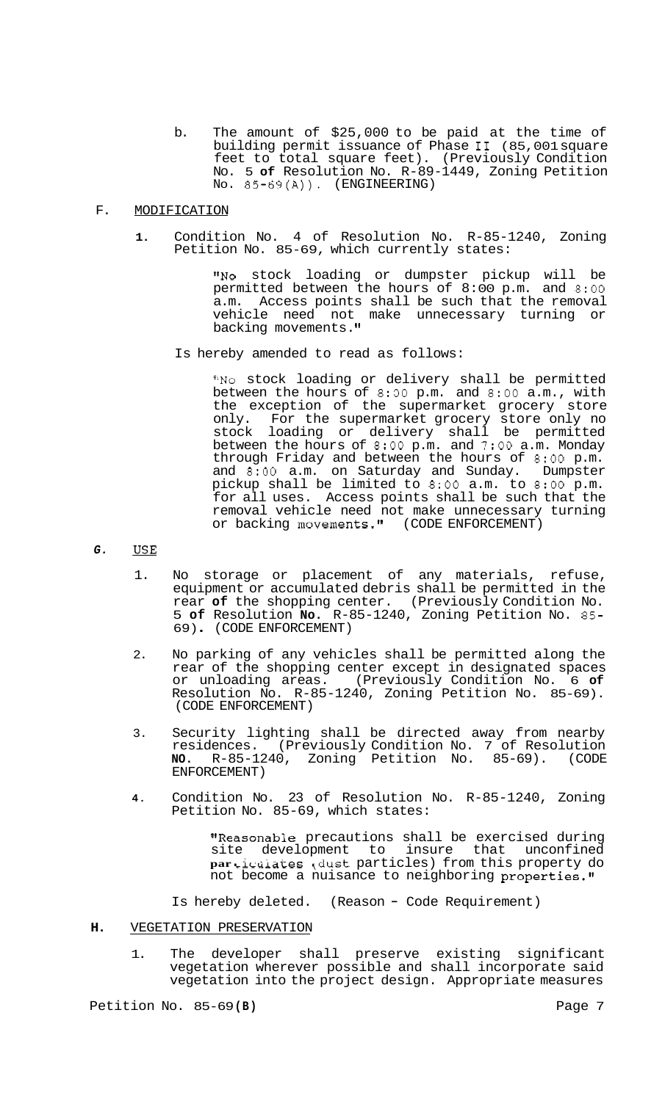b. The amount of \$25,000 to be paid at the time of building permit issuance of Phase I1 (85,001 square feet to total square feet). (Previously Condition No. 5 **of** Resolution No. R-89-1449, Zoning Petition NO. 85-69(A)). (ENGINEERING)

### F. MODIFICATION

**1.** Condition No. 4 of Resolution No. R-85-1240, Zoning Petition No. 85-69, which currently states:

> "No stock loading or dumpster pickup will be permitted between the hours of 8: 00 p.m. and 8:OO a.m. Access points shall be such that the removal vehicle need not make unnecessary turning or backing movements.

Is hereby amended to read as follows:

"No stock loading or delivery shall be permitted between the hours of 8:30 p.m. and 8:OO a.m., with the exception of the supermarket grocery store only. For the supermarket grocery store only no stock loading or delivery shall be permitted between the hours of 8:OO p.m. and *7:OO* a.m. Monday through Friday and between the hours of 8:OO p.m. and 8:OO a.m. on Saturday and Sunday. Dumpster pickup shall be limited to 8:OO a.m. to 8:OO p.m. for all uses. Access points shall be such that the removal vehicle need not make unnecessary turning or backing movements." (CODE ENFORCEMENT)

#### *G.*  **USE**

- 1. No storage or placement of any materials, refuse, equipment or accumulated debris shall be permitted in the rear **of** the shopping center. (Previously Condition No. 5 **of** Resolution **No.** R-85-1240, Zoning Petition No. 85- 69) . (CODE ENFORCEMENT)
- 2. No parking of any vehicles shall be permitted along the rear of the shopping center except in designated spaces or unloading areas. (Previously Condition No. 6 **of**  Resolution No. R-85-1240, Zoning Petition No. 85-69). (CODE ENFORCEMENT)
- 3. Security lighting shall be directed away from nearby residences. (Previously Condition No. 7 of Resolution **NO.** R-85-1240, Zoning Petition No. 85-69). (CODE ENFORCEMENT)
- **4.** Condition No. 23 of Resolution No. R-85-1240, Zoning Petition No. 85-69, which states:

"Reasonable precautions shall be exercised during site development to insure that unconfined **par** Licaiates (dust particles) from this property do not become a nuisance to neighboring properties."

Is hereby deleted. (Reason - Code Requirement)

## **H.** VEGETATION PRESERVATION

1. The developer shall preserve existing significant vegetation wherever possible and shall incorporate said vegetation into the project design. Appropriate measures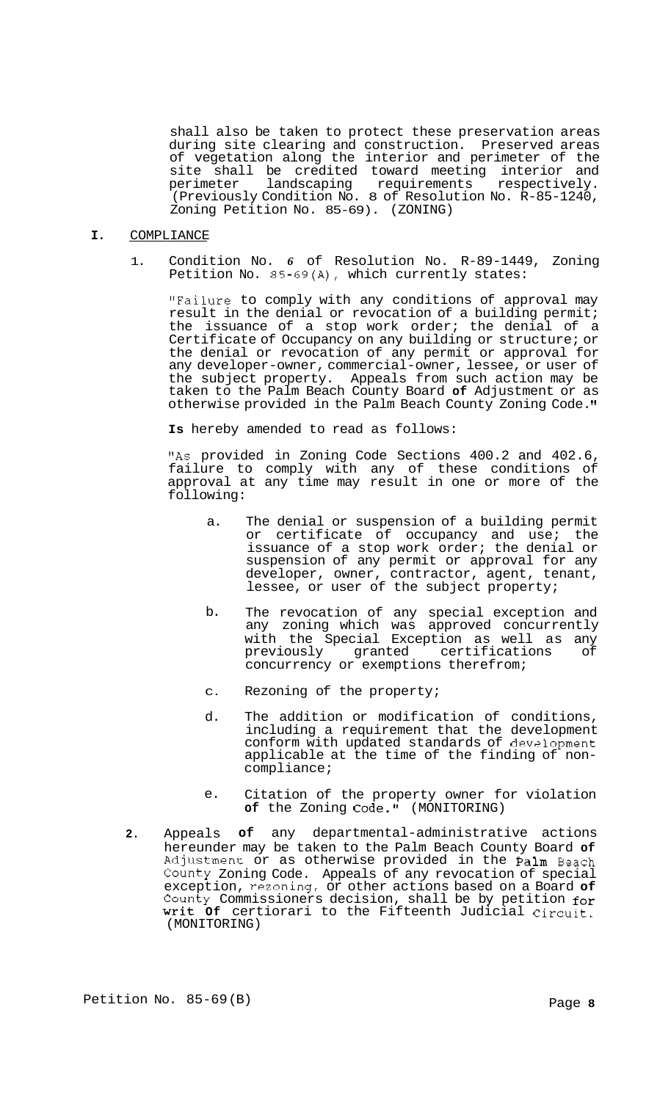shall also be taken to protect these preservation areas during site clearing and construction. Preserved areas of vegetation along the interior and perimeter of the site shall be credited toward meeting interior and<br>perimeter landscaping requirements respectively. perimeter landscaping requirements respectively. (Previously Condition No. 8 of Resolution No. R-85-1240, Zoning Petition No. 85-69). (ZONING)

# **I.** COMPLIANCE

1. Condition No. *6* of Resolution No. R-89-1449, Zoning Petition No. 85-69(A), which currently states:

"Failure to comply with any conditions of approval may result in the denial or revocation of a building permit; the issuance of a stop work order; the denial of a Certificate of Occupancy on any building or structure; or the denial or revocation of any permit or approval for any developer-owner, commercial-owner, lessee, or user of the subject property. Appeals from such action may be taken to the Palm Beach County Board **of** Adjustment or as otherwise provided in the Palm Beach County Zoning Code.

**Is** hereby amended to read as follows:

"As provided in Zoning Code Sections 400.2 and 402.6, failure to comply with any of these conditions of approval at any time may result in one or more of the following:

- a. The denial or suspension of a building permit or certificate of occupancy and use; the issuance of a stop work order; the denial or suspension of any permit or approval for any developer, owner, contractor, agent, tenant, lessee, or user of the subject property;
- b. The revocation of any special exception and any zoning which was approved concurrently with the Special Exception as well as any previously granted certifications of concurrency or exemptions therefrom;
- C. Rezoning of the property;
- d. The addition or modification of conditions, including a requirement that the development conform with updated standards of devslopment applicable at the time of the finding of non- compliance;
- e. Citation of the property owner for violation of the Zoning Code." (MONITORING)
- **2.** Appeals **of** any departmental-administrative actions hereunder may be taken to the Palm Beach County Board **of**  Adjustment or as otherwise provided in the Palm Beach County Zoning Code. Appeals of any revocation of special exception, rezoning, or other actions based on a Board **of**  County Commissioners decision, shall be by petition for Writ **Of** certiorari to the Fifteenth Judicial Circuit. (MONITORING)